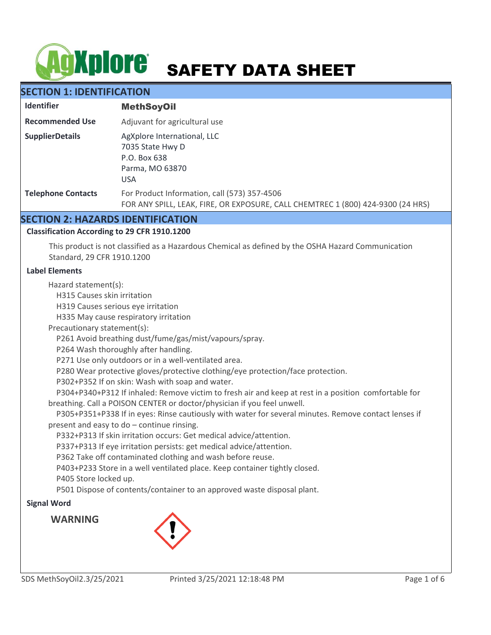# **AgXplore** SAFETY DATA SHEET

# **SECTION 1: IDENTIFICATION**

| <b>Identifier</b>         | <b>MethSoyOil</b>                                                                                                               |
|---------------------------|---------------------------------------------------------------------------------------------------------------------------------|
| <b>Recommended Use</b>    | Adjuvant for agricultural use                                                                                                   |
| <b>SupplierDetails</b>    | AgXplore International, LLC<br>7035 State Hwy D<br>P.O. Box 638<br>Parma, MO 63870<br><b>USA</b>                                |
| <b>Telephone Contacts</b> | For Product Information, call (573) 357-4506<br>FOR ANY SPILL, LEAK, FIRE, OR EXPOSURE, CALL CHEMTREC 1 (800) 424-9300 (24 HRS) |

# **SECTION 2: HAZARDS IDENTIFICATION**

# **Classification According to 29 CFR 1910.1200**

This product is not classified as a Hazardous Chemical as defined by the OSHA Hazard Communication Standard, 29 CFR 1910.1200

# **Label Elements**

Hazard statement(s):

H315 Causes skin irritation

H319 Causes serious eye irritation

H335 May cause respiratory irritation

Precautionary statement(s):

P261 Avoid breathing dust/fume/gas/mist/vapours/spray.

P264 Wash thoroughly after handling.

P271 Use only outdoors or in a well-ventilated area.

P280 Wear protective gloves/protective clothing/eye protection/face protection.

P302+P352 If on skin: Wash with soap and water.

 P304+P340+P312 If inhaled: Remove victim to fresh air and keep at rest in a position comfortable for breathing. Call a POISON CENTER or doctor/physician if you feel unwell.

 P305+P351+P338 If in eyes: Rinse cautiously with water for several minutes. Remove contact lenses if present and easy to do – continue rinsing.

P332+P313 If skin irritation occurs: Get medical advice/attention.

P337+P313 If eye irritation persists: get medical advice/attention.

P362 Take off contaminated clothing and wash before reuse.

P403+P233 Store in a well ventilated place. Keep container tightly closed.

P405 Store locked up.

P501 Dispose of contents/container to an approved waste disposal plant.

# **Signal Word**

**WARNING**

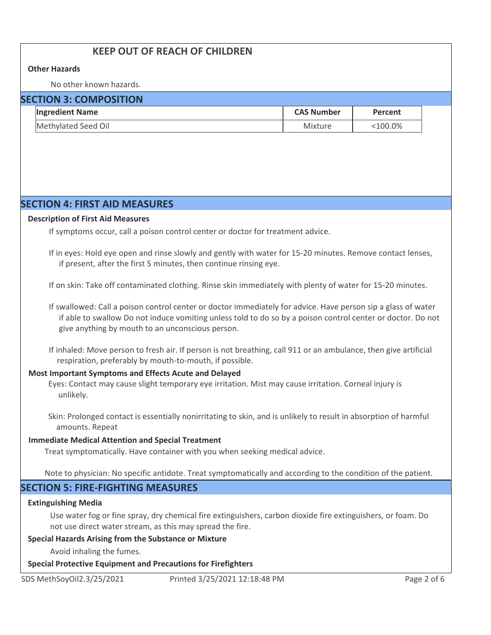# **KEEP OUT OF REACH OF CHILDREN**

## **Other Hazards**

No other known hazards.

| <b>SECTION 3: COMPOSITION</b> |                        |                   |            |  |
|-------------------------------|------------------------|-------------------|------------|--|
|                               | <b>Ingredient Name</b> | <b>CAS Number</b> | Percent    |  |
|                               | Methylated Seed Oil    | Mixture           | $<$ 100.0% |  |

# **SECTION 4: FIRST AID MEASURES**

#### **Description of First Aid Measures**

If symptoms occur, call a poison control center or doctor for treatment advice.

If in eyes: Hold eye open and rinse slowly and gently with water for 15-20 minutes. Remove contact lenses, if present, after the first 5 minutes, then continue rinsing eye.

If on skin: Take off contaminated clothing. Rinse skin immediately with plenty of water for 15-20 minutes.

If swallowed: Call a poison control center or doctor immediately for advice. Have person sip a glass of water if able to swallow Do not induce vomiting unless told to do so by a poison control center or doctor. Do not give anything by mouth to an unconscious person.

If inhaled: Move person to fresh air. If person is not breathing, call 911 or an ambulance, then give artificial respiration, preferably by mouth-to-mouth, if possible.

# **Most Important Symptoms and Effects Acute and Delayed**

Eyes: Contact may cause slight temporary eye irritation. Mist may cause irritation. Corneal injury is unlikely.

Skin: Prolonged contact is essentially nonirritating to skin, and is unlikely to result in absorption of harmful amounts. Repeat

## **Immediate Medical Attention and Special Treatment**

Treat symptomatically. Have container with you when seeking medical advice.

Note to physician: No specific antidote. Treat symptomatically and according to the condition of the patient.

# **SECTION 5: FIRE-FIGHTING MEASURES**

## **Extinguishing Media**

Use water fog or fine spray, dry chemical fire extinguishers, carbon dioxide fire extinguishers, or foam. Do not use direct water stream, as this may spread the fire.

## **Special Hazards Arising from the Substance or Mixture**

Avoid inhaling the fumes.

## **Special Protective Equipment and Precautions for Firefighters**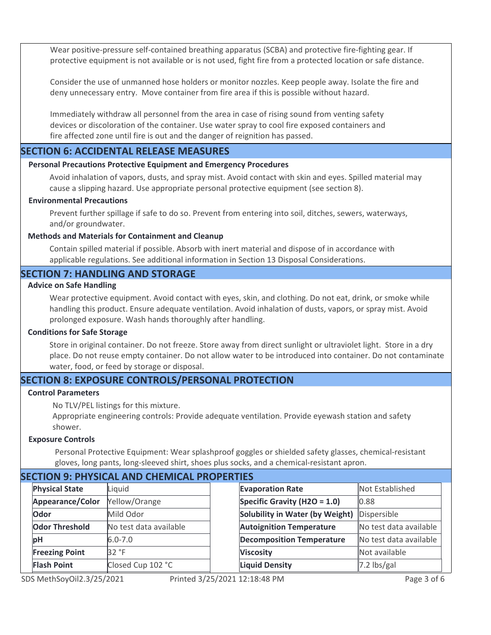Wear positive-pressure self-contained breathing apparatus (SCBA) and protective fire-fighting gear. If protective equipment is not available or is not used, fight fire from a protected location or safe distance.

Consider the use of unmanned hose holders or monitor nozzles. Keep people away. Isolate the fire and deny unnecessary entry. Move container from fire area if this is possible without hazard.

Immediately withdraw all personnel from the area in case of rising sound from venting safety devices or discoloration of the container. Use water spray to cool fire exposed containers and fire affected zone until fire is out and the danger of reignition has passed.

# **SECTION 6: ACCIDENTAL RELEASE MEASURES**

# **Personal Precautions Protective Equipment and Emergency Procedures**

Avoid inhalation of vapors, dusts, and spray mist. Avoid contact with skin and eyes. Spilled material may cause a slipping hazard. Use appropriate personal protective equipment (see section 8).

# **Environmental Precautions**

Prevent further spillage if safe to do so. Prevent from entering into soil, ditches, sewers, waterways, and/or groundwater.

# **Methods and Materials for Containment and Cleanup**

Contain spilled material if possible. Absorb with inert material and dispose of in accordance with applicable regulations. See additional information in Section 13 Disposal Considerations.

# **SECTION 7: HANDLING AND STORAGE**

# **Advice on Safe Handling**

Wear protective equipment. Avoid contact with eyes, skin, and clothing. Do not eat, drink, or smoke while handling this product. Ensure adequate ventilation. Avoid inhalation of dusts, vapors, or spray mist. Avoid prolonged exposure. Wash hands thoroughly after handling.

#### **Conditions for Safe Storage**

Store in original container. Do not freeze. Store away from direct sunlight or ultraviolet light. Store in a dry place. Do not reuse empty container. Do not allow water to be introduced into container. Do not contaminate water, food, or feed by storage or disposal.

# **SECTION 8: EXPOSURE CONTROLS/PERSONAL PROTECTION**

## **Control Parameters**

No TLV/PEL listings for this mixture.

Appropriate engineering controls: Provide adequate ventilation. Provide eyewash station and safety shower.

## **Exposure Controls**

Personal Protective Equipment: Wear splashproof goggles or shielded safety glasses, chemical-resistant gloves, long pants, long-sleeved shirt, shoes plus socks, and a chemical-resistant apron.

# **SECTION 9: PHYSICAL AND CHEMICAL PROPERTIES**

| <b>Physical State</b> | Liquid                 |
|-----------------------|------------------------|
| Appearance/Color      | Yellow/Orange          |
| Odor                  | Mild Odor              |
| <b>Odor Threshold</b> | No test data available |
| pН                    | $6.0 - 7.0$            |
| <b>Freezing Point</b> | 32 °F                  |
| <b>Flash Point</b>    | Closed Cup 102 °C      |

S MethSoyOil2.3/25/2021 Print

Not Established 0.88 Dispersible No test data available No test data available Not available 7.2 lbs/gal **Evaporation Rate Specific Gravity (H2O = 1.0) Solubility in Water (by Weight) Autoignition Temperature Decomposition Temperature Viscosity Liquid Density**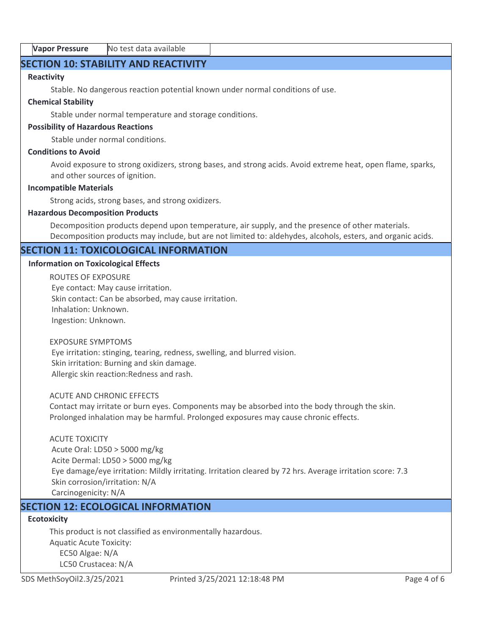# **SECTION 10: STABILITY AND REACTIVITY**

# **Reactivity**

Stable. No dangerous reaction potential known under normal conditions of use.

# **Chemical Stability**

Stable under normal temperature and storage conditions.

# **Possibility of Hazardous Reactions**

Stable under normal conditions.

# **Conditions to Avoid**

Avoid exposure to strong oxidizers, strong bases, and strong acids. Avoid extreme heat, open flame, sparks, and other sources of ignition.

#### **Incompatible Materials**

Strong acids, strong bases, and strong oxidizers.

# **Hazardous Decomposition Products**

Decomposition products depend upon temperature, air supply, and the presence of other materials. Decomposition products may include, but are not limited to: aldehydes, alcohols, esters, and organic acids.

# **SECTION 11: TOXICOLOGICAL INFORMATION**

# **Information on Toxicological Effects**

ROUTES OF EXPOSURE Eye contact: May cause irritation. Skin contact: Can be absorbed, may cause irritation. Inhalation: Unknown. Ingestion: Unknown.

### EXPOSURE SYMPTOMS

 Eye irritation: stinging, tearing, redness, swelling, and blurred vision. Skin irritation: Burning and skin damage. Allergic skin reaction:Redness and rash.

#### ACUTE AND CHRONIC EFFECTS

Contact may irritate or burn eyes. Components may be absorbed into the body through the skin. Prolonged inhalation may be harmful. Prolonged exposures may cause chronic effects.

## ACUTE TOXICITY

 Acute Oral: LD50 > 5000 mg/kg Acite Dermal: LD50 > 5000 mg/kg Eye damage/eye irritation: Mildly irritating. Irritation cleared by 72 hrs. Average irritation score: 7.3 Skin corrosion/irritation: N/A Carcinogenicity: N/A

# **SECTION 12: ECOLOGICAL INFORMATION**

# **Ecotoxicity**

This product is not classified as environmentally hazardous. Aquatic Acute Toxicity: EC50 Algae: N/A LC50 Crustacea: N/A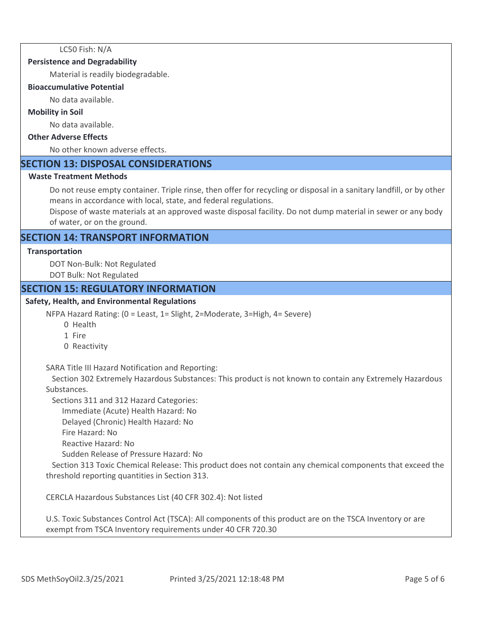LC50 Fish: N/A

## **Persistence and Degradability**

Material is readily biodegradable.

#### **Bioaccumulative Potential**

No data available.

## **Mobility in Soil**

No data available.

# **Other Adverse Effects**

No other known adverse effects.

# **SECTION 13: DISPOSAL CONSIDERATIONS**

## **Waste Treatment Methods**

Do not reuse empty container. Triple rinse, then offer for recycling or disposal in a sanitary landfill, or by other means in accordance with local, state, and federal regulations.

Dispose of waste materials at an approved waste disposal facility. Do not dump material in sewer or any body of water, or on the ground.

# **SECTION 14: TRANSPORT INFORMATION**

#### **Transportation**

DOT Non-Bulk: Not Regulated DOT Bulk: Not Regulated

# **SECTION 15: REGULATORY INFORMATION**

# **Safety, Health, and Environmental Regulations**

NFPA Hazard Rating: (0 = Least, 1= Slight, 2=Moderate, 3=High, 4= Severe)

- 0 Health
- 1 Fire
- 0 Reactivity

SARA Title III Hazard Notification and Reporting:

 Section 302 Extremely Hazardous Substances: This product is not known to contain any Extremely Hazardous Substances.

Sections 311 and 312 Hazard Categories:

Immediate (Acute) Health Hazard: No

Delayed (Chronic) Health Hazard: No

Fire Hazard: No

Reactive Hazard: No

Sudden Release of Pressure Hazard: No

 Section 313 Toxic Chemical Release: This product does not contain any chemical components that exceed the threshold reporting quantities in Section 313.

CERCLA Hazardous Substances List (40 CFR 302.4): Not listed

U.S. Toxic Substances Control Act (TSCA): All components of this product are on the TSCA Inventory or are exempt from TSCA Inventory requirements under 40 CFR 720.30